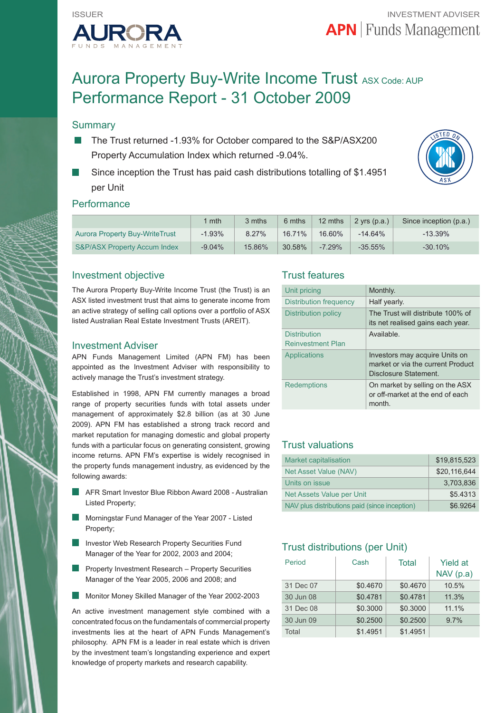

# Aurora Property Buy-Write Income Trust ASX Code: AUP Performance Report - 31 October 2009

## **Summary**

- The Trust returned -1.93% for October compared to the S&P/ASX200 Property Accumulation Index which returned -9.04%.
- Since inception the Trust has paid cash distributions totalling of \$1.4951 per Unit



## **Performance**

|                                         | mth      | 3 mths | 6 mths    | 12 mths  | $2$ yrs (p.a.) | Since inception (p.a.) |
|-----------------------------------------|----------|--------|-----------|----------|----------------|------------------------|
| <b>Aurora Property Buy-WriteTrust</b>   | $-1.93%$ | 8.27%  | $16.71\%$ | 16.60%   | $-14.64%$      | $-13.39%$              |
| <b>S&amp;P/ASX Property Accum Index</b> | $-9.04%$ | 15.86% | 30.58%    | $-7.29%$ | $-35.55\%$     | $-30.10%$              |

## Investment objective

The Aurora Property Buy-Write Income Trust (the Trust) is an ASX listed investment trust that aims to generate income from an active strategy of selling call options over a portfolio of ASX listed Australian Real Estate Investment Trusts (AREIT).

#### Investment Adviser

APN Funds Management Limited (APN FM) has been appointed as the Investment Adviser with responsibility to actively manage the Trust's investment strategy.

Established in 1998, APN FM currently manages a broad range of property securities funds with total assets under management of approximately \$2.8 billion (as at 30 June 2009). APN FM has established a strong track record and market reputation for managing domestic and global property funds with a particular focus on generating consistent, growing income returns. APN FM's expertise is widely recognised in the property funds management industry, as evidenced by the following awards:

- AFR Smart Investor Blue Ribbon Award 2008 Australian Listed Property;
- Morningstar Fund Manager of the Year 2007 Listed Property;
- Investor Web Research Property Securities Fund Manager of the Year for 2002, 2003 and 2004;
- Property Investment Research Property Securities Manager of the Year 2005, 2006 and 2008; and
- Monitor Money Skilled Manager of the Year 2002-2003

An active investment management style combined with a concentrated focus on the fundamentals of commercial property investments lies at the heart of APN Funds Management's philosophy. APN FM is a leader in real estate which is driven by the investment team's longstanding experience and expert knowledge of property markets and research capability.

## Trust features

| Unit pricing                                    | Monthly.                                                                                     |
|-------------------------------------------------|----------------------------------------------------------------------------------------------|
| Distribution frequency                          | Half yearly.                                                                                 |
| Distribution policy                             | The Trust will distribute 100% of<br>its net realised gains each year.                       |
| <b>Distribution</b><br><b>Reinvestment Plan</b> | Available.                                                                                   |
| Applications                                    | Investors may acquire Units on<br>market or via the current Product<br>Disclosure Statement. |
| <b>Redemptions</b>                              | On market by selling on the ASX<br>or off-market at the end of each<br>month.                |

## Trust valuations

| <b>Market capitalisation</b>                  | \$19.815.523 |
|-----------------------------------------------|--------------|
| Net Asset Value (NAV)                         | \$20.116.644 |
| Units on issue                                | 3.703.836    |
| Net Assets Value per Unit                     | \$5.4313     |
| NAV plus distributions paid (since inception) | \$6.9264     |

## Trust distributions (per Unit)

| Period    | Cash     | Total    | <b>Yield at</b><br>NAV(p.a) |
|-----------|----------|----------|-----------------------------|
| 31 Dec 07 | \$0.4670 | \$0.4670 | 10.5%                       |
| 30 Jun 08 | \$0.4781 | \$0.4781 | 11.3%                       |
| 31 Dec 08 | \$0.3000 | \$0.3000 | 11.1%                       |
| 30 Jun 09 | \$0.2500 | \$0.2500 | 9.7%                        |
| Total     | \$1.4951 | \$1.4951 |                             |